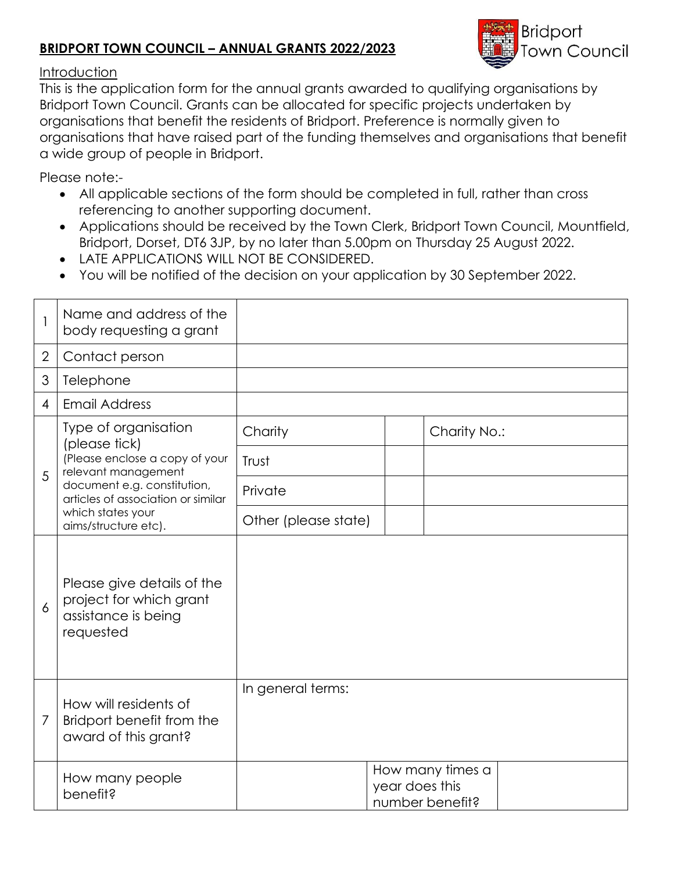## **BRIDPORT TOWN COUNCIL – ANNUAL GRANTS 2022/2023**



## Introduction

This is the application form for the annual grants awarded to qualifying organisations by Bridport Town Council. Grants can be allocated for specific projects undertaken by organisations that benefit the residents of Bridport. Preference is normally given to organisations that have raised part of the funding themselves and organisations that benefit a wide group of people in Bridport.

Please note:-

- All applicable sections of the form should be completed in full, rather than cross referencing to another supporting document.
- Applications should be received by the Town Clerk, Bridport Town Council, Mountfield, Bridport, Dorset, DT6 3JP, by no later than 5.00pm on Thursday 25 August 2022.
- LATE APPLICATIONS WILL NOT BE CONSIDERED.
- You will be notified of the decision on your application by 30 September 2022.

|                | Name and address of the<br>body requesting a grant                                                                                                                                                               |                      |                                                       |              |  |
|----------------|------------------------------------------------------------------------------------------------------------------------------------------------------------------------------------------------------------------|----------------------|-------------------------------------------------------|--------------|--|
| $\overline{2}$ | Contact person                                                                                                                                                                                                   |                      |                                                       |              |  |
| 3              | Telephone                                                                                                                                                                                                        |                      |                                                       |              |  |
| 4              | <b>Email Address</b>                                                                                                                                                                                             |                      |                                                       |              |  |
| 5              | Type of organisation<br>(please tick)<br>(Please enclose a copy of your<br>relevant management<br>document e.g. constitution,<br>articles of association or similar<br>which states your<br>aims/structure etc). | Charity              |                                                       | Charity No.: |  |
|                |                                                                                                                                                                                                                  | Trust                |                                                       |              |  |
|                |                                                                                                                                                                                                                  | Private              |                                                       |              |  |
|                |                                                                                                                                                                                                                  | Other (please state) |                                                       |              |  |
| 6              | Please give details of the<br>project for which grant<br>assistance is being<br>requested                                                                                                                        |                      |                                                       |              |  |
| $\overline{7}$ | How will residents of<br>Bridport benefit from the<br>award of this grant?                                                                                                                                       | In general terms:    |                                                       |              |  |
|                | How many people<br>benefit?                                                                                                                                                                                      |                      | How many times a<br>year does this<br>number benefit? |              |  |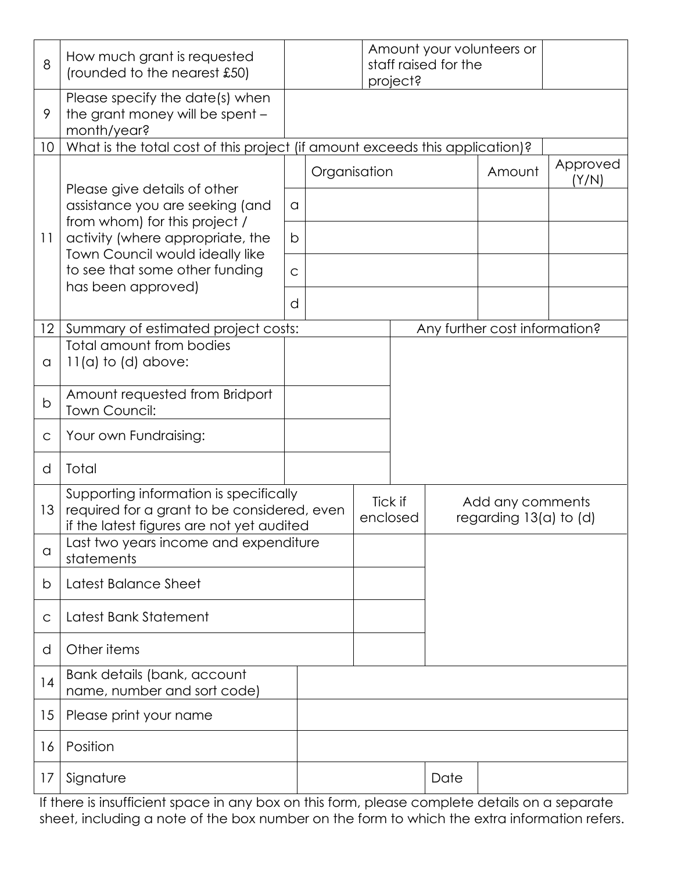| 8            | How much grant is requested<br>(rounded to the nearest £50)                                                                                                                                                                     |                                                                              |  |  | Amount your volunteers or<br>staff raised for the<br>project? |                                                |        |                   |  |  |
|--------------|---------------------------------------------------------------------------------------------------------------------------------------------------------------------------------------------------------------------------------|------------------------------------------------------------------------------|--|--|---------------------------------------------------------------|------------------------------------------------|--------|-------------------|--|--|
| 9            | Please specify the date(s) when<br>the grant money will be spent -<br>month/year?                                                                                                                                               |                                                                              |  |  |                                                               |                                                |        |                   |  |  |
| 10           |                                                                                                                                                                                                                                 | What is the total cost of this project (if amount exceeds this application)? |  |  |                                                               |                                                |        |                   |  |  |
|              | Please give details of other<br>assistance you are seeking (and<br>from whom) for this project /<br>activity (where appropriate, the<br>Town Council would ideally like<br>to see that some other funding<br>has been approved) | Organisation                                                                 |  |  |                                                               |                                                | Amount | Approved<br>(Y/N) |  |  |
|              |                                                                                                                                                                                                                                 | a                                                                            |  |  |                                                               |                                                |        |                   |  |  |
| 11           |                                                                                                                                                                                                                                 | b                                                                            |  |  |                                                               |                                                |        |                   |  |  |
|              |                                                                                                                                                                                                                                 | $\mathsf{C}$                                                                 |  |  |                                                               |                                                |        |                   |  |  |
|              |                                                                                                                                                                                                                                 |                                                                              |  |  |                                                               |                                                |        |                   |  |  |
| 12           | Summary of estimated project costs:                                                                                                                                                                                             |                                                                              |  |  |                                                               | Any further cost information?                  |        |                   |  |  |
| a            | Total amount from bodies<br>$11(a)$ to $(d)$ above:                                                                                                                                                                             |                                                                              |  |  |                                                               |                                                |        |                   |  |  |
| þ            | Amount requested from Bridport<br>Town Council:                                                                                                                                                                                 |                                                                              |  |  |                                                               |                                                |        |                   |  |  |
| $\mathsf C$  | Your own Fundraising:                                                                                                                                                                                                           |                                                                              |  |  |                                                               |                                                |        |                   |  |  |
| d            | Total                                                                                                                                                                                                                           |                                                                              |  |  |                                                               |                                                |        |                   |  |  |
| 13           | Supporting information is specifically<br>required for a grant to be considered, even<br>if the latest figures are not yet audited                                                                                              |                                                                              |  |  | Tick if<br>enclosed                                           | Add any comments<br>regarding $13(a)$ to $(d)$ |        |                   |  |  |
| a            | Last two years income and expenditure<br>statements                                                                                                                                                                             |                                                                              |  |  |                                                               |                                                |        |                   |  |  |
| b            | Latest Balance Sheet                                                                                                                                                                                                            |                                                                              |  |  |                                                               |                                                |        |                   |  |  |
| $\mathsf{C}$ | Latest Bank Statement                                                                                                                                                                                                           |                                                                              |  |  |                                                               |                                                |        |                   |  |  |
| d            | Other items                                                                                                                                                                                                                     |                                                                              |  |  |                                                               |                                                |        |                   |  |  |
| 4            | Bank details (bank, account<br>name, number and sort code)                                                                                                                                                                      |                                                                              |  |  |                                                               |                                                |        |                   |  |  |
| 15           | Please print your name                                                                                                                                                                                                          |                                                                              |  |  |                                                               |                                                |        |                   |  |  |
| 16           | Position                                                                                                                                                                                                                        |                                                                              |  |  |                                                               |                                                |        |                   |  |  |
| 17           | Signature                                                                                                                                                                                                                       |                                                                              |  |  |                                                               | Date                                           |        |                   |  |  |

If there is insufficient space in any box on this form, please complete details on a separate sheet, including a note of the box number on the form to which the extra information refers.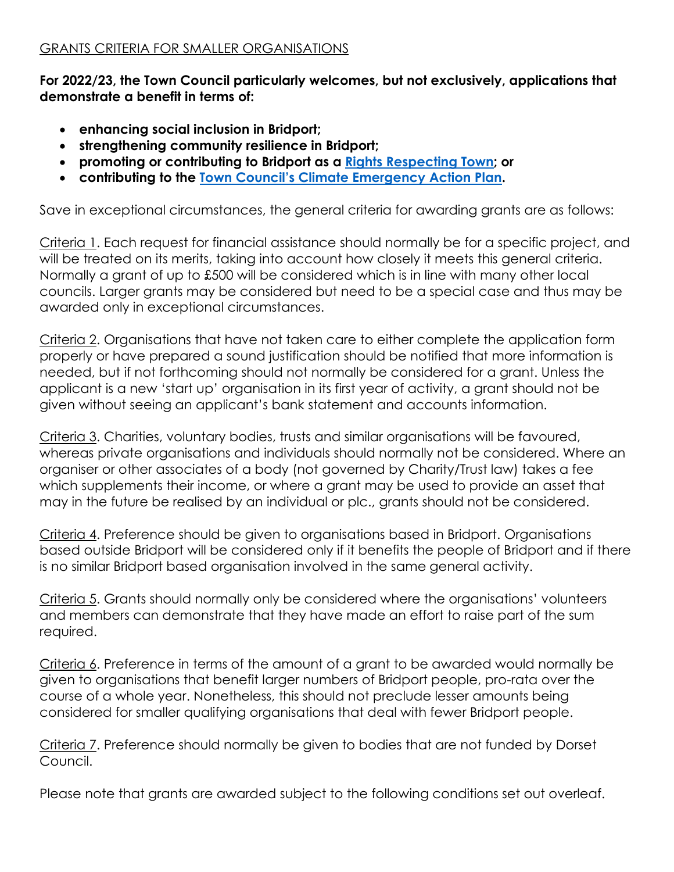**For 2022/23, the Town Council particularly welcomes, but not exclusively, applications that demonstrate a benefit in terms of:**

- **enhancing social inclusion in Bridport;**
- **strengthening community resilience in Bridport;**
- **promoting or contributing to Bridport as a [Rights Respecting](https://bridportrightstown.org/) Town; or**
- **contributing to the Town Council's Climate Emerg[ency Action Plan.](https://www.bridport-tc.gov.uk/wp-content/uploads/2019/11/Climate-Emergency-Action-Plan-FINAL-v5-following-Full-Council-approval.pdf)**

Save in exceptional circumstances, the general criteria for awarding grants are as follows:

Criteria 1. Each request for financial assistance should normally be for a specific project, and will be treated on its merits, taking into account how closely it meets this general criteria. Normally a grant of up to £500 will be considered which is in line with many other local councils. Larger grants may be considered but need to be a special case and thus may be awarded only in exceptional circumstances.

Criteria 2. Organisations that have not taken care to either complete the application form properly or have prepared a sound justification should be notified that more information is needed, but if not forthcoming should not normally be considered for a grant. Unless the applicant is a new 'start up' organisation in its first year of activity, a grant should not be given without seeing an applicant's bank statement and accounts information.

Criteria 3. Charities, voluntary bodies, trusts and similar organisations will be favoured, whereas private organisations and individuals should normally not be considered. Where an organiser or other associates of a body (not governed by Charity/Trust law) takes a fee which supplements their income, or where a grant may be used to provide an asset that may in the future be realised by an individual or plc., grants should not be considered.

Criteria 4. Preference should be given to organisations based in Bridport. Organisations based outside Bridport will be considered only if it benefits the people of Bridport and if there is no similar Bridport based organisation involved in the same general activity.

Criteria 5. Grants should normally only be considered where the organisations' volunteers and members can demonstrate that they have made an effort to raise part of the sum required.

Criteria 6. Preference in terms of the amount of a grant to be awarded would normally be given to organisations that benefit larger numbers of Bridport people, pro-rata over the course of a whole year. Nonetheless, this should not preclude lesser amounts being considered for smaller qualifying organisations that deal with fewer Bridport people.

Criteria 7. Preference should normally be given to bodies that are not funded by Dorset Council.

Please note that grants are awarded subject to the following conditions set out overleaf.